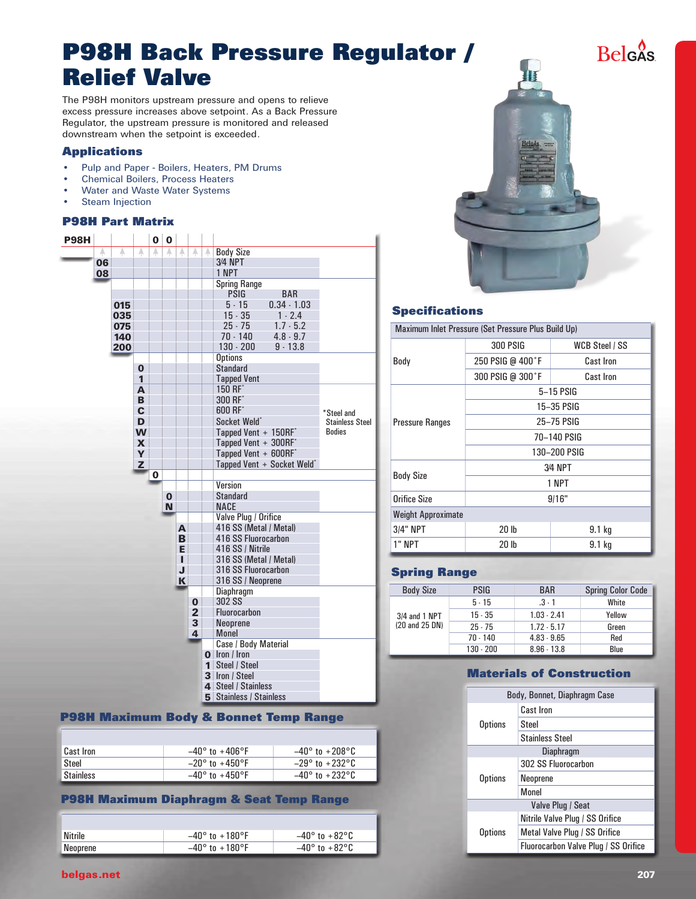# **P98H Back Pressure Regulator / Relief Valve**

The P98H monitors upstream pressure and opens to relieve excess pressure increases above setpoint. As a Back Pressure Regulator, the upstream pressure is monitored and released downstream when the setpoint is exceeded.

#### **Applications**

- Pulp and Paper Boilers, Heaters, PM Drums
- • Chemical Boilers, Process Heaters
- • Water and Waste Water Systems
- Steam Injection

#### **P98H Part Matrix**

| <b>P98H</b> |    |     |          | $\mathbf 0$ | $\mathbf 0$ |        |                                          |   |                                                                                                                                                                                                                                                                      |                        |
|-------------|----|-----|----------|-------------|-------------|--------|------------------------------------------|---|----------------------------------------------------------------------------------------------------------------------------------------------------------------------------------------------------------------------------------------------------------------------|------------------------|
|             | A  | Ā   | A        | A           | A           | A      | A                                        | A | <b>Body Size</b>                                                                                                                                                                                                                                                     |                        |
|             | 06 |     |          |             |             |        |                                          |   | <b>3/4 NPT</b>                                                                                                                                                                                                                                                       |                        |
|             | 08 |     |          |             |             |        |                                          |   | 1 NPT                                                                                                                                                                                                                                                                |                        |
|             |    |     |          |             |             |        |                                          |   | <b>Spring Range</b>                                                                                                                                                                                                                                                  |                        |
|             |    |     |          |             |             |        |                                          |   | PSIG<br><b>BAR</b>                                                                                                                                                                                                                                                   |                        |
|             |    | 015 |          |             |             |        |                                          |   | $5 - 15$<br>$0.34 - 1.03$                                                                                                                                                                                                                                            |                        |
|             |    | 035 |          |             |             |        |                                          |   | $15 - 35$<br>$1 - 2.4$                                                                                                                                                                                                                                               |                        |
|             |    | 075 |          |             |             |        |                                          |   | $25 - 75$<br>$1.7 - 5.2$                                                                                                                                                                                                                                             |                        |
|             |    | 140 |          |             |             |        |                                          |   | $70 - 140$<br>$4.8 - 9.7$                                                                                                                                                                                                                                            |                        |
|             |    | 200 |          |             |             |        |                                          |   | $130 - 200$<br>$9 - 13.8$                                                                                                                                                                                                                                            |                        |
|             |    |     |          |             |             |        |                                          |   | <b>Options</b>                                                                                                                                                                                                                                                       |                        |
|             |    |     | $\bf{0}$ |             |             |        |                                          |   | <b>Standard</b>                                                                                                                                                                                                                                                      |                        |
|             |    |     | 1        |             |             |        |                                          |   | <b>Tapped Vent</b>                                                                                                                                                                                                                                                   |                        |
|             |    |     | A        |             |             |        |                                          |   | 150 RF*                                                                                                                                                                                                                                                              |                        |
|             |    |     | B        |             |             |        |                                          |   | 300 RF*                                                                                                                                                                                                                                                              |                        |
|             |    |     | C        |             |             |        |                                          |   | 600 RF <sup>*</sup>                                                                                                                                                                                                                                                  | *Steel and             |
|             |    |     | D        |             |             |        |                                          |   | Socket Weld*                                                                                                                                                                                                                                                         | <b>Stainless Steel</b> |
|             |    |     | W        |             |             |        |                                          |   | Tapped Vent + 150RF*                                                                                                                                                                                                                                                 | <b>Bodies</b>          |
|             |    |     | X        |             |             |        |                                          |   | Tapped Vent + 300RF*                                                                                                                                                                                                                                                 |                        |
|             |    |     | Y        |             |             |        |                                          |   | Tapped Vent + 600RF <sup>*</sup>                                                                                                                                                                                                                                     |                        |
|             |    |     | Z        |             |             |        |                                          |   | Tapped Vent + Socket Weld*                                                                                                                                                                                                                                           |                        |
|             |    |     |          | $\mathbf 0$ |             |        |                                          |   |                                                                                                                                                                                                                                                                      |                        |
|             |    |     |          |             |             |        |                                          |   | Version                                                                                                                                                                                                                                                              |                        |
|             |    |     |          |             | $\bf{0}$    |        |                                          |   | <b>Standard</b>                                                                                                                                                                                                                                                      |                        |
|             |    |     |          |             | N           |        |                                          |   | <b>NACE</b>                                                                                                                                                                                                                                                          |                        |
|             |    |     |          |             |             |        |                                          |   | Valve Plug / Orifice                                                                                                                                                                                                                                                 |                        |
|             |    |     |          |             |             | A      |                                          |   | 416 SS (Metal / Metal)                                                                                                                                                                                                                                               |                        |
|             |    |     |          |             |             | B      |                                          |   | 416 SS Fluorocarbon                                                                                                                                                                                                                                                  |                        |
|             |    |     |          |             |             | Е      |                                          |   | 416 SS / Nitrile                                                                                                                                                                                                                                                     |                        |
|             |    |     |          |             |             | п      |                                          |   | 316 SS (Metal / Metal)                                                                                                                                                                                                                                               |                        |
|             |    |     |          |             |             |        |                                          |   |                                                                                                                                                                                                                                                                      |                        |
|             |    |     |          |             |             |        |                                          |   |                                                                                                                                                                                                                                                                      |                        |
|             |    |     |          |             |             |        |                                          |   |                                                                                                                                                                                                                                                                      |                        |
|             |    |     |          |             |             |        |                                          |   |                                                                                                                                                                                                                                                                      |                        |
|             |    |     |          |             |             |        |                                          |   |                                                                                                                                                                                                                                                                      |                        |
|             |    |     |          |             |             |        |                                          |   |                                                                                                                                                                                                                                                                      |                        |
|             |    |     |          |             |             |        |                                          |   |                                                                                                                                                                                                                                                                      |                        |
|             |    |     |          |             |             |        |                                          |   |                                                                                                                                                                                                                                                                      |                        |
|             |    |     |          |             |             |        |                                          |   |                                                                                                                                                                                                                                                                      |                        |
|             |    |     |          |             |             |        |                                          |   |                                                                                                                                                                                                                                                                      |                        |
|             |    |     |          |             |             |        |                                          |   |                                                                                                                                                                                                                                                                      |                        |
|             |    |     |          |             |             |        |                                          |   |                                                                                                                                                                                                                                                                      |                        |
|             |    |     |          |             |             | J<br>K | $\mathbf{0}$<br>$\overline{2}$<br>3<br>4 |   | 316 SS Fluorocarbon<br>316 SS / Neoprene<br>Diaphragm<br>302 SS<br>Fluorocarbon<br><b>Neoprene</b><br><b>Monel</b><br>Case / Body Material<br>$\mathbf{O}$ Iron / Iron<br>1 Steel / Steel<br>3 Iron / Steel<br>4 Steel / Stainless<br><b>5</b> Stainless / Stainless |                        |

#### **P98H Maximum Body & Bonnet Temp Range**

| Cast Iron        | $-40^{\circ}$ to $+406^{\circ}$ F | $-40^{\circ}$ to $+208^{\circ}$ C |
|------------------|-----------------------------------|-----------------------------------|
| Steel            | $-20^{\circ}$ to $+450^{\circ}$ F | $-29^{\circ}$ to $+232^{\circ}$ C |
| <b>Stainless</b> | $-40^{\circ}$ to $+450^{\circ}$ F | $-40^{\circ}$ to $+232^{\circ}$ C |

#### **P98H Maximum Diaphragm & Seat Temp Range**

| Nitrile    | $-40^{\circ}$ to $+180^{\circ}$ F | $-40^{\circ}$ to $+82^{\circ}$ C |
|------------|-----------------------------------|----------------------------------|
| , Neoprene | $-40^{\circ}$ to $+180^{\circ}$ F | $-40^{\circ}$ to $+82^{\circ}$ C |



#### **Specifications**

Maximum Inlet Pressure (Set Pressure Plus Build Up)

|                           | <b>300 PSIG</b>  | <b>WCB Steel / SS</b> |
|---------------------------|------------------|-----------------------|
| Body                      | 250 PSIG @ 400°F | Cast Iron             |
|                           | 300 PSIG @ 300°F | Cast Iron             |
|                           |                  | 5-15 PSIG             |
|                           |                  | 15-35 PSIG            |
| <b>Pressure Ranges</b>    |                  | 25-75 PSIG            |
|                           |                  | 70-140 PSIG           |
|                           |                  | 130-200 PSIG          |
|                           |                  | <b>3/4 NPT</b>        |
| <b>Body Size</b>          |                  | 1 NPT                 |
| Orifice Size              |                  | 9/16"                 |
| <b>Weight Approximate</b> |                  |                       |
| 3/4" NPT                  | 20 <sub>h</sub>  | 9.1 <sub>kg</sub>     |
| 1" NPT                    | 20 <sub>h</sub>  | 9.1 <sub>kg</sub>     |

#### **Spring Range**

| <b>Body Size</b> | <b>PSIG</b> | <b>BAR</b>    | <b>Spring Color Code</b> |
|------------------|-------------|---------------|--------------------------|
|                  | $5 - 15$    | $.3 - 1$      | White                    |
| $3/4$ and 1 NPT  | $15 - 35$   | $1.03 - 2.41$ | Yellow                   |
| (20 and 25 DN)   | $25 - 75$   | $1.72 - 5.17$ | Green                    |
|                  | 70 - 140    | $4.83 - 9.65$ | Red                      |
|                  | $130 - 200$ | $8.96 - 13.8$ | Blue                     |

#### **Materials of Construction**

|                | Body, Bonnet, Diaphragm Case         |  |  |  |  |  |
|----------------|--------------------------------------|--|--|--|--|--|
|                | <b>Cast Iron</b>                     |  |  |  |  |  |
| <b>Options</b> | Steel                                |  |  |  |  |  |
|                | <b>Stainless Steel</b>               |  |  |  |  |  |
|                | Diaphragm                            |  |  |  |  |  |
|                | 302 SS Fluorocarbon                  |  |  |  |  |  |
| <b>Options</b> | Neoprene                             |  |  |  |  |  |
|                | Monel                                |  |  |  |  |  |
|                | Valve Plug / Seat                    |  |  |  |  |  |
|                | Nitrile Valve Plug / SS Orifice      |  |  |  |  |  |
| Options        | Metal Valve Plug / SS Orifice        |  |  |  |  |  |
|                | Fluorocarbon Valve Plug / SS Orifice |  |  |  |  |  |

## **Belgas**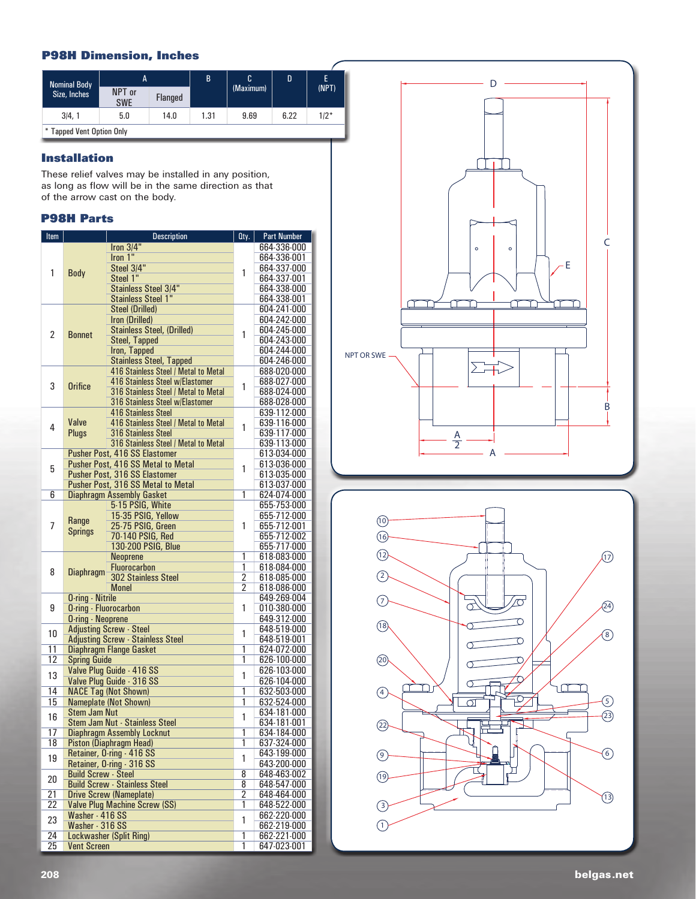#### **P98H Dimension, Inches**



#### **Installation**

These relief valves may be installed in any position, as long as flow will be in the same direction as that of the arrow cast on the body.

#### **P98H Parts**

| Item            |                              | <b>Description</b>                       | Oty.               | <b>Part Number</b>         |
|-----------------|------------------------------|------------------------------------------|--------------------|----------------------------|
|                 |                              | Iron $3/4"$                              |                    | 664-336-000                |
|                 |                              | Iron 1"                                  |                    | 664-336-001                |
|                 |                              | Steel 3/4"                               |                    | 664-337-000                |
| 1               | <b>Body</b>                  | Steel 1"                                 | 1                  | 664-337-001                |
|                 |                              | <b>Stainless Steel 3/4"</b>              |                    | 664-338-000                |
|                 |                              | <b>Stainless Steel 1"</b>                |                    | 664-338-001                |
|                 |                              | <b>Steel (Drilled)</b>                   |                    | 604-241-000                |
|                 |                              | Iron (Drilled)                           |                    | 604-242-000                |
| 2               | <b>Bonnet</b>                | <b>Stainless Steel, (Drilled)</b>        | 1                  | 604-245-000                |
|                 |                              | <b>Steel, Tapped</b>                     |                    | 604-243-000                |
|                 |                              | Iron, Tapped                             |                    | 604-244-000                |
|                 |                              | <b>Stainless Steel, Tapped</b>           |                    | 604-246-000                |
|                 |                              | 416 Stainless Steel / Metal to Metal     |                    | 688-020-000                |
| 3               | <b>Orifice</b>               | 416 Stainless Steel w/Elastomer          | 1                  | 688-027-000                |
|                 |                              | 316 Stainless Steel / Metal to Metal     |                    | 688-024-000                |
|                 |                              | 316 Stainless Steel w/Elastomer          |                    | 688-028-000                |
|                 |                              | <b>416 Stainless Steel</b>               |                    | 639-112-000                |
| 4               | Valve                        | 416 Stainless Steel / Metal to Metal     | 1                  | 639-116-000                |
|                 | <b>Plugs</b>                 | 316 Stainless Steel                      |                    | 639-117-000                |
|                 |                              | 316 Stainless Steel / Metal to Metal     |                    | 639-113-000                |
|                 |                              | Pusher Post, 416 SS Elastomer            |                    | 613-034-000                |
| 5               |                              | Pusher Post, 416 SS Metal to Metal       | 1                  | 613-036-000                |
|                 |                              | Pusher Post, 316 SS Elastomer            |                    | 613-035-000                |
|                 |                              | Pusher Post, 316 SS Metal to Metal       |                    | 613-037-000                |
| 6               |                              | <b>Diaphragm Assembly Gasket</b>         | $\overline{1}$     | 624-074-000                |
|                 |                              | 5-15 PSIG, White                         |                    | 655-753-000                |
|                 | Range                        | 15-35 PSIG, Yellow                       |                    | 655-712-000                |
| 7               | <b>Springs</b>               | 25-75 PSIG, Green                        | 1                  | 655-712-001                |
|                 |                              | 70-140 PSIG, Red                         |                    | 655-712-002                |
|                 |                              | 130-200 PSIG, Blue                       | $\overline{1}$     | 655-717-000                |
|                 |                              | <b>Neoprene</b><br><b>Fluorocarbon</b>   | 1                  | 618-083-000<br>618-084-000 |
| 8               | <b>Diaphragm</b>             | <b>302 Stainless Steel</b>               | $\overline{2}$     | 618-085-000                |
|                 |                              | <b>Monel</b>                             | $\overline{2}$     | 618-086-000                |
|                 | <b>O-ring - Nitrile</b>      |                                          |                    | 649-269-004                |
| 9               | <b>O-ring - Fluorocarbon</b> |                                          | 1                  | 010-380-000                |
|                 | <b>O-ring - Neoprene</b>     |                                          |                    | 649-312-000                |
|                 |                              | <b>Adjusting Screw - Steel</b>           |                    | 648-519-000                |
| 10              |                              | <b>Adjusting Screw - Stainless Steel</b> | 1                  | 648-519-001                |
| 11              |                              | Diaphragm Flange Gasket                  | $\overline{1}$     | 624-072-000                |
| 12              | <b>Spring Guide</b>          |                                          | 1                  | 626-100-000                |
|                 |                              | Valve Plug Guide - 416 SS                |                    | 626-103-000                |
| 13              |                              | Valve Plug Guide - 316 SS                | 1                  | 626-104-000                |
| 14              |                              | <b>NACE Tag (Not Shown)</b>              | $\overline{1}$     | 632-503-000                |
| 15              |                              | Nameplate (Not Shown)                    | $\overline{1}$     | 632-524-000                |
|                 | <b>Stem Jam Nut</b>          |                                          |                    | 634-181-000                |
| 16              |                              | <b>Stem Jam Nut - Stainless Steel</b>    | 1                  | 634-181-001                |
| 17              |                              | <b>Diaphragm Assembly Locknut</b>        | $\overline{1}$     | 634-184-000                |
| $\overline{18}$ |                              | Piston (Diaphragm Head)                  | 1                  | 637-324-000                |
|                 |                              | Retainer, O-ring - 416 SS                | 1                  | 643-199-000                |
| 19              |                              | Retainer, O-ring - 316 SS                |                    | 643-200-000                |
|                 | <b>Build Screw - Steel</b>   |                                          | 8                  | 648-463-002                |
| 20              |                              | <b>Build Screw - Stainless Steel</b>     | $\overline{\bf 8}$ | 648-547-000                |
| $\overline{21}$ |                              | <b>Drive Screw (Nameplate)</b>           | 2                  | 648-464-000                |
| $\overline{22}$ |                              | <b>Valve Plug Machine Screw (SS)</b>     | 1                  | 648-522-000                |
| 23              | Washer - 416 SS              |                                          | 1                  | 662-220-000                |
|                 | Washer - 316 SS              |                                          |                    | 662-219-000                |
| $\overline{24}$ |                              | Lockwasher (Split Ring)                  | $\overline{1}$     | 662-221-000                |
| $\overline{25}$ | <b>Vent Screen</b>           |                                          | $\overline{1}$     | 647-023-001                |



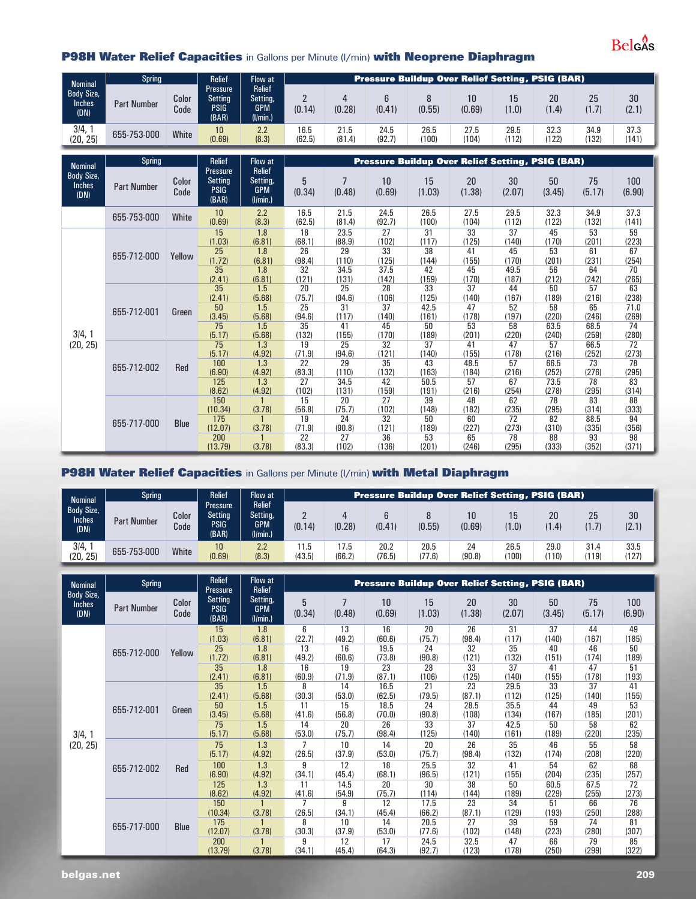### **P98H Water Relief Capacities** in Gallons per Minute (l/min) **with Neoprene Diaphragm**

| <b>Nominal</b>                             | Spring             |                    | <b>Relief</b>                                             | <b>Flow at</b>                                      |                |                |                |                | <b>Pressure Buildup Over Relief Setting, PSIG (BAR)</b> |                |               |               |               |
|--------------------------------------------|--------------------|--------------------|-----------------------------------------------------------|-----------------------------------------------------|----------------|----------------|----------------|----------------|---------------------------------------------------------|----------------|---------------|---------------|---------------|
| <b>Body Size,</b><br><b>Inches</b><br>(DN) | <b>Part Number</b> | Color<br>Code      | <b>Pressure</b><br><b>Setting</b><br><b>PSIG</b><br>(BAR) | <b>Relief</b><br>Setting,<br><b>GPM</b><br>(1/min.) | (0.14)         | 4<br>(0.28)    | 6<br>(0.41)    | (0.55)         | 10<br>(0.69)                                            | 15<br>(1.0)    | 20<br>(1.4)   | 25<br>(1.7)   | 30<br>(2.1)   |
| 3/4,<br>(20, 25)                           | 655-753-000        | White              | 10<br>(0.69)                                              | 2.2<br>(8.3)                                        | 16.5<br>(62.5) | 21.5<br>(81.4) | 24.5<br>(92.7) | 26.5<br>(100)  | 27.5<br>(104)                                           | 29.5<br>(112)  | 32.3<br>(122) | 34.9<br>(132) | 37.3<br>(141) |
| <b>Nominal</b>                             | Spring             |                    | <b>Relief</b>                                             | Flow at                                             |                |                |                |                | <b>Pressure Buildup Over Relief Setting, PSIG (BAR)</b> |                |               |               |               |
| Body Size,                                 |                    | P <sub>other</sub> | <b>Pressure</b><br>$0$ ottina                             | <b>Relief</b><br>$0$ <sub>attina</sub>              | E.             |                | 1 <sub>n</sub> | 1 <sub>E</sub> | nn.                                                     | n <sub>n</sub> | En.           | <b>75</b>     | 100           |

| <b>DUUY OILE,</b><br><b>Inches</b><br>(DN) | <b>Part Number</b> | Color<br>Code   | <b>Setting</b><br><b>PSIG</b><br>(BAR) | Setting,<br><b>GPM</b><br>(1/min.) | 5<br>(0.34)    | (0.48)         | 10<br>(0.69)   | 15<br>(1.03)  | 20<br>(1.38)  | 30<br>(2.07)  | 50<br>(3.45)  | 75<br>(5.17)  | 100<br>(6.90) |
|--------------------------------------------|--------------------|-----------------|----------------------------------------|------------------------------------|----------------|----------------|----------------|---------------|---------------|---------------|---------------|---------------|---------------|
|                                            | 655-753-000        | White           | 10<br>(0.69)                           | 2.2<br>(8.3)                       | 16.5<br>(62.5) | 21.5<br>(81.4) | 24.5<br>(92.7) | 26.5<br>(100) | 27.5<br>(104) | 29.5<br>(112) | 32.3<br>(122) | 34.9<br>(132) | 37.3<br>(141) |
|                                            |                    |                 | 15<br>(1.03)                           | 1.8<br>(6.81)                      | 18<br>(68.1)   | 23.5<br>(88.9) | 27<br>(102)    | 31<br>(117)   | 33<br>(125)   | 37<br>(140)   | 45<br>(170)   | 53<br>(201)   | 59<br>(223)   |
|                                            | 655-712-000        | Yellow<br>Green | 25<br>(1.72)                           | 1.8<br>(6.81)                      | 26<br>(98.4)   | 29<br>(110)    | 33<br>(125)    | 38<br>(144)   | 41<br>(155)   | 45<br>(170)   | 53<br>(201)   | 61<br>(231)   | 67<br>(254)   |
|                                            |                    |                 | 35<br>(2.41)                           | 1.8<br>(6.81)                      | 32<br>(121)    | 34.5<br>(131)  | 37.5<br>(142)  | 42<br>(159)   | 45<br>(170)   | 49.5<br>(187) | 56<br>(212)   | 64<br>(242)   | 70<br>(265)   |
|                                            |                    |                 | 35<br>(2.41)                           | 1.5<br>(5.68)                      | 20<br>(75.7)   | 25<br>(94.6)   | 28<br>(106)    | 33<br>(125)   | 37<br>(140)   | 44<br>(167)   | 50<br>(189)   | 57<br>(216)   | 63<br>(238)   |
|                                            | 655-712-001        |                 | 50<br>(3.45)                           | 1.5<br>(5.68)                      | 25<br>(94.6)   | 31<br>(117)    | 37<br>(140)    | 42.5<br>(161) | 47<br>(178)   | 52<br>(197)   | 58<br>(220)   | 65<br>(246)   | 71.0<br>(269) |
| 3/4, 1                                     |                    |                 | 75<br>(5.17)                           | 1.5<br>(5.68)                      | 35<br>(132)    | 41<br>(155)    | 45<br>(170)    | 50<br>(189)   | 53<br>(201)   | 58<br>(220)   | 63.5<br>(240) | 68.5<br>(259) | 74<br>(280)   |
| (20, 25)                                   |                    |                 | 75<br>(5.17)                           | 1.3<br>(4.92)                      | 19<br>(71.9)   | 25<br>(94.6)   | 32<br>(121)    | 37<br>(140)   | 41<br>(155)   | 47<br>(178)   | 57<br>(216)   | 66.5<br>(252) | 72<br>(273)   |
|                                            | 655-712-002        | Red             | 100<br>(6.90)                          | 1.3<br>(4.92)                      | 22<br>(83.3)   | 29<br>(110)    | 35<br>(132)    | 43<br>(163)   | 48.5<br>(184) | 57<br>(216)   | 66.5<br>(252) | 73<br>(276)   | 78<br>(295)   |
|                                            |                    |                 | 125<br>(8.62)                          | 1.3<br>(4.92)                      | 27<br>(102)    | 34.5<br>(131)  | 42<br>(159)    | 50.5<br>(191) | 57<br>(216)   | 67<br>(254)   | 73.5<br>(278) | 78<br>(295)   | 83<br>(314)   |
|                                            |                    |                 | 150<br>(10.34)                         | (3.78)                             | 15<br>(56.8)   | 20<br>(75.7)   | 27<br>(102)    | 39<br>(148)   | 48<br>(182)   | 62<br>(235)   | 78<br>(295)   | 83<br>(314)   | 88<br>(333)   |
|                                            | 655-717-000        | Blue            | 175<br>(12.07)                         | (3.78)                             | 19<br>(71.9)   | 24<br>(90.8)   | 32<br>(121)    | 50<br>(189)   | 60<br>(227)   | 72<br>(273)   | 82<br>(310)   | 88.5<br>(335) | 94<br>(356)   |
|                                            |                    |                 | 200<br>(13.79)                         | (3.78)                             | 22<br>(83.3)   | 27<br>(102)    | 36<br>(136)    | 53<br>(201)   | 65<br>(246)   | 78<br>(295)   | 88<br>(333)   | 93<br>(352)   | 98<br>(371)   |

## **P98H Water Relief Capacities** in Gallons per Minute (l/min) **with Metal Diaphragm**

| <b>Nominal</b>                             | <b>Spring</b>      |               | <b>Relief</b>                               | Flow at                                            |                |                |                | <b>Pressure Buildup Over Relief Setting, PSIG (BAR)</b> |              |               |               |               |               |
|--------------------------------------------|--------------------|---------------|---------------------------------------------|----------------------------------------------------|----------------|----------------|----------------|---------------------------------------------------------|--------------|---------------|---------------|---------------|---------------|
| <b>Body Size,</b><br><b>Inches</b><br>(DN) | <b>Part Number</b> | Color<br>Code | <b>Pressure</b><br>Setting<br>PSIG<br>(BAR) | Relief <sup>'</sup><br>Setting,<br>GPM<br>(1/min.) | (0.14)         | (0.28)         | (0.41)         | (0.55)                                                  | 10<br>(0.69) | 15<br>(1.0)   | 20<br>(1.4)   | 25            | 30<br>(2.1)   |
| 3/4, 1<br>(20, 25)                         | 655-753-000        | White         | 10<br>(0.69)                                | 2.2<br>(8.3)                                       | 11.5<br>(43.5) | 17.5<br>(66.2) | 20.2<br>(76.5) | 20.5<br>(77.6)                                          | 24<br>(90.8) | 26.5<br>(100) | 29.0<br>(110) | 31.4<br>(119) | 33.5<br>(127) |

| <b>Nominal</b>                             | Spring             |                 | <b>Relief</b><br><b>Pressure</b>       | Flow at<br><b>Relief</b>           |                          |                          |                |                | <b>Pressure Buildup Over Relief Setting, PSIG (BAR)</b> |               |               |               |               |
|--------------------------------------------|--------------------|-----------------|----------------------------------------|------------------------------------|--------------------------|--------------------------|----------------|----------------|---------------------------------------------------------|---------------|---------------|---------------|---------------|
| <b>Body Size,</b><br><b>Inches</b><br>(DN) | <b>Part Number</b> | Color<br>Code   | <b>Setting</b><br><b>PSIG</b><br>(BAR) | Setting,<br><b>GPM</b><br>(1/min.) | 5<br>(0.34)              | $\overline{7}$<br>(0.48) | 10<br>(0.69)   | 15<br>(1.03)   | 20<br>(1.38)                                            | 30<br>(2.07)  | 50<br>(3.45)  | 75<br>(5.17)  | 100<br>(6.90) |
|                                            |                    |                 | 15<br>(1.03)                           | 1.8<br>(6.81)                      | 6<br>(22.7)              | 13<br>(49.2)             | 16<br>(60.6)   | 20<br>(75.7)   | 26<br>(98.4)                                            | 31<br>(117)   | 37<br>(140)   | 44<br>(167)   | 49<br>(185)   |
|                                            | 655-712-000        | Yellow<br>Green | 25<br>(1.72)                           | 1.8<br>(6.81)                      | 13<br>(49.2)             | 16<br>(60.6)             | 19.5<br>(73.8) | 24<br>(90.8)   | 32<br>(121)                                             | 35<br>(132)   | 40<br>(151)   | 46<br>(174)   | 50<br>(189)   |
|                                            | 655-712-001        |                 | 35<br>(2.41)                           | 1.8<br>(6.81)                      | 16<br>(60.9)             | 19<br>(71.9)             | 23<br>(87.1)   | 28<br>(106)    | 33<br>(125)                                             | 37<br>(140)   | 41<br>(155)   | 47<br>(178)   | 51<br>(193)   |
|                                            |                    |                 | 35<br>(2.41)                           | 1.5<br>(5.68)                      | 8<br>(30.3)              | 14<br>(53.0)             | 16.5<br>(62.5) | 21<br>(79.5)   | 23<br>(87.1)                                            | 29.5<br>(112) | 33<br>(125)   | 37<br>(140)   | 41<br>(155)   |
|                                            |                    |                 | 50<br>(3.45)                           | 1.5<br>(5.68)                      | 11<br>(41.6)             | 15<br>(56.8)             | 18.5<br>(70.0) | 24<br>(90.8)   | 28.5<br>(108)                                           | 35.5<br>(134) | 44<br>(167)   | 49<br>(185)   | 53<br>(201)   |
| 3/4, 1                                     |                    |                 | 75<br>(5.17)                           | 1.5<br>(5.68)                      | 14<br>(53.0)             | 20<br>(75.7)             | 26<br>(98.4)   | 33<br>(125)    | 37<br>(140)                                             | 42.5<br>(161) | 50<br>(189)   | 58<br>(220)   | 62<br>(235)   |
| (20, 25)                                   |                    |                 | 75<br>(5.17)                           | 1.3<br>(4.92)                      | (26.5)                   | 10<br>(37.9)             | 14<br>(53.0)   | 20<br>(75.7)   | 26<br>(98.4)                                            | 35<br>(132)   | 46<br>(174)   | 55<br>(208)   | 58<br>(220)   |
|                                            | 655-712-002        | Red             | 100<br>(6.90)                          | 1.3<br>(4.92)                      | 9<br>(34.1)              | 12<br>(45.4)             | 18<br>(68.1)   | 25.5<br>(96.5) | 32<br>(121)                                             | 41<br>(155)   | 54<br>(204)   | 62<br>(235)   | 68<br>(257)   |
|                                            |                    |                 | 125<br>(8.62)                          | 1.3<br>(4.92)                      | 11<br>(41.6)             | 14.5<br>(54.9)           | 20<br>(75.7)   | 30<br>(114)    | 38<br>(144)                                             | 50<br>(189)   | 60.5<br>(229) | 67.5<br>(255) | 72<br>(273)   |
|                                            |                    |                 | 150<br>(10.34)                         | $\overline{1}$<br>(3.78)           | $\overline{7}$<br>(26.5) | 9<br>(34.1)              | 12<br>(45.4)   | 17.5<br>(66.2) | 23<br>(87.1)                                            | 34<br>(129)   | 51<br>(193)   | 66<br>(250)   | 76<br>(288)   |
|                                            | 655-717-000        | <b>Blue</b>     | 175<br>(12.07)                         | $\overline{1}$<br>(3.78)           | 8<br>(30.3)              | 10<br>(37.9)             | 14<br>(53.0)   | 20.5<br>(77.6) | 27<br>(102)                                             | 39<br>(148)   | 59<br>(223)   | 74<br>(280)   | 81<br>(307)   |
|                                            |                    |                 | 200<br>(13.79)                         | (3.78)                             | 9<br>(34.1)              | 12<br>(45.4)             | 17<br>(64.3)   | 24.5<br>(92.7) | 32.5<br>(123)                                           | 47<br>(178)   | 66<br>(250)   | 79<br>(299)   | 85<br>(322)   |

 $Bels<sup>0</sup>$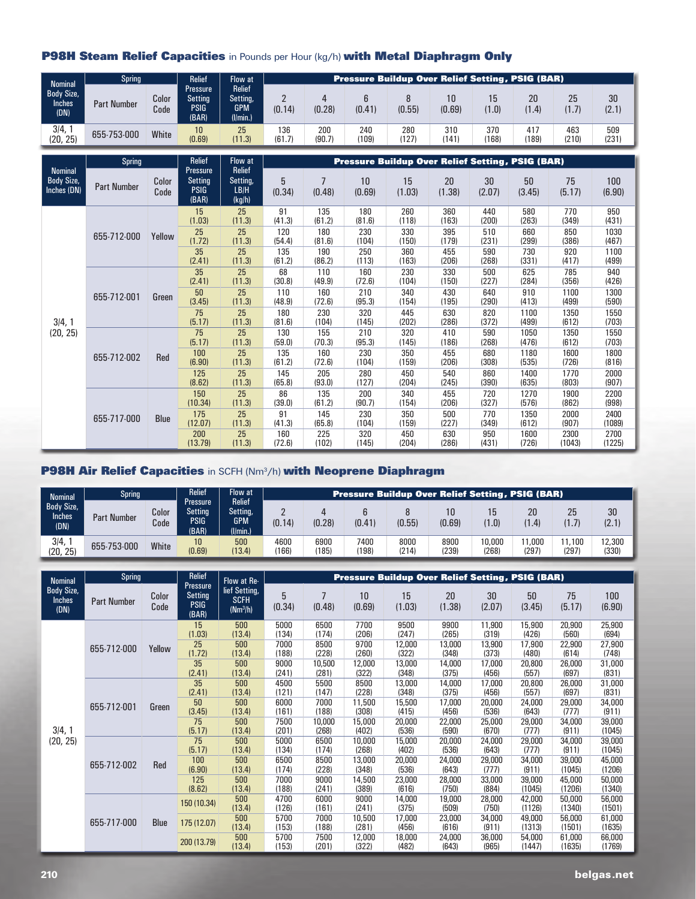#### **P98H Steam Relief Capacities** in Pounds per Hour (kg/h) **with Metal Diaphragm Only**

| <b>Nominal</b>                                     | <b>Spring</b>      |               | <b>Relief</b>                                             | Flow at                                             |                          |               |              | <b>Pressure Buildup Over Relief Setting, PSIG (BAR)</b> |              |              |              |              |               |
|----------------------------------------------------|--------------------|---------------|-----------------------------------------------------------|-----------------------------------------------------|--------------------------|---------------|--------------|---------------------------------------------------------|--------------|--------------|--------------|--------------|---------------|
| <b>Body Size.</b><br><b>Inches</b><br>(DN)         | <b>Part Number</b> | Color<br>Code | <b>Pressure</b><br><b>Setting</b><br><b>PSIG</b><br>(BAR) | <b>Relief</b><br>Setting,<br><b>GPM</b><br>(1/min.) | $\overline{2}$<br>(0.14) | 4<br>(0.28)   | 6<br>(0.41)  | 8<br>(0.55)                                             | 10<br>(0.69) | 15<br>(1.0)  | 20<br>(1.4)  | 25<br>(1.7)  | 30<br>(2.1)   |
| 3/4, 1<br>(20, 25)                                 | 655-753-000        | White         | 10<br>(0.69)                                              | 25<br>(11.3)                                        | 136<br>(61.7)            | 200<br>(90.7) | 240<br>(109) | 280<br>(127)                                            | 310<br>(141) | 370<br>(168) | 417<br>(189) | 463<br>(210) | 509<br>(231)  |
|                                                    |                    |               |                                                           |                                                     |                          |               |              |                                                         |              |              |              |              |               |
|                                                    | <b>Spring</b>      |               | <b>Relief</b>                                             | <b>Flow at</b>                                      |                          |               |              | <b>Pressure Buildup Over Relief Setting, PSIG (BAR)</b> |              |              |              |              |               |
| <b>Nominal</b><br><b>Body Size,</b><br>Inches (DN) | <b>Part Number</b> | Color<br>Code | <b>Pressure</b><br><b>Setting</b><br><b>PSIG</b><br>(BAR) | <b>Relief</b><br>Setting,<br>LB/H<br>(kg/h)         | 5<br>(0.34)              | (0.48)        | 10<br>(0.69) | 15<br>(1.03)                                            | 20<br>(1.38) | 30<br>(2.07) | 50<br>(3.45) | 75<br>(5.17) | 100<br>(6.90) |

(81.6)

190  $(86.2)$ 

110 (49.9)

160 (72.6)

230 (104)

155 (70.3)

160 (72.6)

205 (93.0)

135 (61.2)

145 (65.8)

> 225 (102)

(104)

250  $(113)$ 

160 (72.6)

210 (95.3)

320 (145)

210 (95.3)

230  $(104)$ 

280 (127)

200 (90.7)

230 (104)

320 (145) (150)

360  $(163)$ 

> 230 (104)

340 (154)

445  $(202)$ 

320 (145)

350 (159)

450 (204)

340 (154)

350 (159)

> 450 (204)

(179)

455 (206)

330 (150)

430 (195)

630 (286)

410 (186)

455 (206)

540 (245)

455 (206)

500 (227)

> 630 (286)

(231)

590 (268)

500 (227)

640 (290)

820 (372)

590 (268)

680 (308)

860 (390)

720 (327)

770 (349)

950 (431) (299)

730 (331)

625 (284)

910 (413)

1100 (499)

1050 (476)

1180 (535)

1400 (635)

1270 (576)

1350 (612)

> 1600 (726)

(386)

920  $(417)$ 

785 (356)

1100 (499)

1350 (612)

1350 (612)

1600 (726)

1770 (803)

1900 (862)

2000 (907)

2300 (1043) (467)

1100  $(499)$ 

940 (426)

1300 (590)

1550 (703)

1550 (703)

1800 (816)

2000 (907)

2200 (998)

2400 (1089)

2700 (1225)

#### **P98H Air Relief Capacities** in SCFH (Nm3/h) **with Neoprene Diaphragm**

| Nominal<br><b>Body Size,</b><br><b>Inches</b><br>(DN) | <b>Spring</b>      |               | Relief                                                          | Flow at                                             | <b>Pressure Buildup Over Relief Setting, PSIG (BAR)</b> |               |               |               |               |                 |                 |                |                 |  |  |  |
|-------------------------------------------------------|--------------------|---------------|-----------------------------------------------------------------|-----------------------------------------------------|---------------------------------------------------------|---------------|---------------|---------------|---------------|-----------------|-----------------|----------------|-----------------|--|--|--|
|                                                       | <b>Part Number</b> | Color<br>Code | <b>Pressure</b><br>Settina <sup>®</sup><br><b>PSIG</b><br>(BAR) | <b>Relief</b><br>Setting,<br><b>GPM</b><br>(1/min.) | (0.14)                                                  | (0.28)        | (0.41)        | (0.55)        | 10<br>(0.69)  | (1.0)           | 20<br>(1.4)     | 25<br>(1.7)    | 30<br>(2.1)     |  |  |  |
| 3/4,1<br>(20, 25)                                     | 655-753-000        | White         | 10<br>(0.69)                                                    | 500<br>(13.4)                                       | 4600<br>(166)                                           | 6900<br>(185) | 7400<br>(198) | 8000<br>(214) | 8900<br>(239) | 10.000<br>(268) | 11.000<br>(297) | 11.100<br>(297 | 12,300<br>(330) |  |  |  |

| <b>Nominal</b>                             | <b>Spring</b>      |               | <b>Relief</b>                                             | Flow at Re-                                | <b>Pressure Buildup Over Relief Setting, PSIG (BAR)</b> |                          |                 |                 |                 |                 |                  |                  |                  |  |  |  |
|--------------------------------------------|--------------------|---------------|-----------------------------------------------------------|--------------------------------------------|---------------------------------------------------------|--------------------------|-----------------|-----------------|-----------------|-----------------|------------------|------------------|------------------|--|--|--|
| <b>Body Size,</b><br><b>Inches</b><br>(DN) | <b>Part Number</b> | Color<br>Code | <b>Pressure</b><br><b>Setting</b><br><b>PSIG</b><br>(BAR) | lief Setting,<br><b>SCFH</b><br>$(Nm^3/h)$ | 5<br>(0.34)                                             | $\overline{7}$<br>(0.48) | 10<br>(0.69)    | 15<br>(1.03)    | 20<br>(1.38)    | 30<br>(2.07)    | 50<br>(3.45)     | 75<br>(5.17)     | 100<br>(6.90)    |  |  |  |
|                                            |                    |               | 15<br>(1.03)                                              | 500<br>(13.4)                              | 5000<br>(134)                                           | 6500<br>(174)            | 7700<br>(206)   | 9500<br>(247)   | 9900<br>(265)   | 11,900<br>(319) | 15,900<br>(426)  | 20,900<br>(560)  | 25,900<br>(694)  |  |  |  |
|                                            | 655-712-000        | Yellow        | 25<br>(1.72)                                              | 500<br>(13.4)                              | 7000<br>(188)                                           | 8500<br>(228)            | 9700<br>(260)   | 12,000<br>(322) | 13,000<br>(348) | 13,900<br>(373) | 17.900<br>(480)  | 22,900<br>(614)  | 27,900<br>(748)  |  |  |  |
|                                            |                    |               | 35<br>(2.41)                                              | 500<br>(13.4)                              | 9000<br>(241)                                           | 10,500<br>(281)          | 12,000<br>(322) | 13,000<br>(348) | 14,000<br>(375) | 17,000<br>(456) | 20,800<br>(557)  | 26,000<br>(697)  | 31,000<br>(831)  |  |  |  |
|                                            | 655-712-001        | Green         | 35<br>(2.41)                                              | 500<br>(13.4)                              | 4500<br>(121)                                           | 5500<br>(147)            | 8500<br>(228)   | 13,000<br>(348) | 14,000<br>(375) | 17,000<br>(456) | 20,800<br>(557)  | 26,000<br>(697)  | 31,000<br>(831)  |  |  |  |
|                                            |                    |               | 50<br>(3.45)                                              | 500<br>(13.4)                              | 6000<br>(161)                                           | 7000<br>(188)            | 11,500<br>(308) | 15,500<br>(415) | 17,000<br>(456) | 20,000<br>(536) | 24,000<br>(643)  | 29,000<br>(777)  | 34,000<br>(911)  |  |  |  |
| 3/4, 1                                     |                    |               | 75<br>(5.17)                                              | 500<br>(13.4)                              | 7500<br>(201)                                           | 10.000<br>(268)          | 15.000<br>(402) | 20,000<br>(536) | 22,000<br>(590) | 25,000<br>(670) | 29,000<br>(777)  | 34,000<br>(911)  | 39,000<br>(1045) |  |  |  |
| (20, 25)                                   | 655-712-002        | <b>Red</b>    | 75<br>(5.17)                                              | 500<br>(13.4)                              | 5000<br>(134)                                           | 6500<br>(174)            | 10,000<br>(268) | 15,000<br>(402) | 20,000<br>(536) | 24,000<br>(643) | 29,000<br>(777)  | 34,000<br>(911)  | 39,000<br>(1045) |  |  |  |
|                                            |                    |               | 100<br>(6.90)                                             | 500<br>(13.4)                              | 6500<br>(174)                                           | 8500<br>(228)            | 13,000<br>(348) | 20,000<br>(536) | 24,000<br>(643) | 29,000<br>(777) | 34,000<br>(911)  | 39,000<br>(1045) | 45,000<br>(1206) |  |  |  |
|                                            |                    |               | 125<br>(8.62)                                             | 500<br>(13.4)                              | 7000<br>(188)                                           | 9000<br>(241)            | 14,500<br>(389) | 23,000<br>(616) | 28,000<br>(750) | 33,000<br>(884) | 39,000<br>(1045) | 45,000<br>(1206) | 50,000<br>(1340) |  |  |  |
|                                            |                    |               | 150 (10.34)                                               | 500<br>(13.4)                              | 4700<br>(126)                                           | 6000<br>(161)            | 9000<br>(241)   | 14,000<br>(375) | 19,000<br>(509) | 28,000<br>(750) | 42,000<br>(1126) | 50.000<br>(1340) | 56,000<br>(1501) |  |  |  |
|                                            | 655-717-000        | <b>Blue</b>   | 175 (12.07)                                               | 500<br>(13.4)                              | 5700<br>(153)                                           | 7000<br>(188)            | 10,500<br>(281) | 17,000<br>(456) | 23,000<br>(616) | 34,000<br>(911) | 49,000<br>(1313) | 56,000<br>(1501) | 61,000<br>(1635) |  |  |  |
|                                            |                    |               | 200 (13.79)                                               | 500<br>(13.4)                              | 5700<br>(153)                                           | 7500<br>(201)            | 12,000<br>(322) | 18,000<br>(482) | 24,000<br>(643) | 36,000<br>(965) | 54.000<br>(1447) | 61,000<br>(1635) | 66,000<br>(1769) |  |  |  |

3/4, 1 (20, 25) 655-712-000 Yellow

655-712-001 Green

655-712-002 Red

655-717-000 Blue

(1.72)

35 (2.41)

35 (2.41)

50 (3.45)

75 (5.17)

75 (5.17)

100 (6.90)

125  $(8.62)$ 

150 (10.34)

175 (12.07)

> 200 (13.79)

(11.3)

25 (11.3)

25 (11.3)

25 (11.3)

25  $(11.3)$ 

25  $(11.3)$ 

25 (11.3)

25 (11.3)

25 (11.3)

25 (11.3)

25 (11.3) (54.4)

135  $(61.2)$ 

68 (30.8)

110 (48.9)

180 (81.6)

130 (59.0)

135 (61.2)

145 (65.8)

86 (39.0)

91 (41.3)

160  $(72.6)$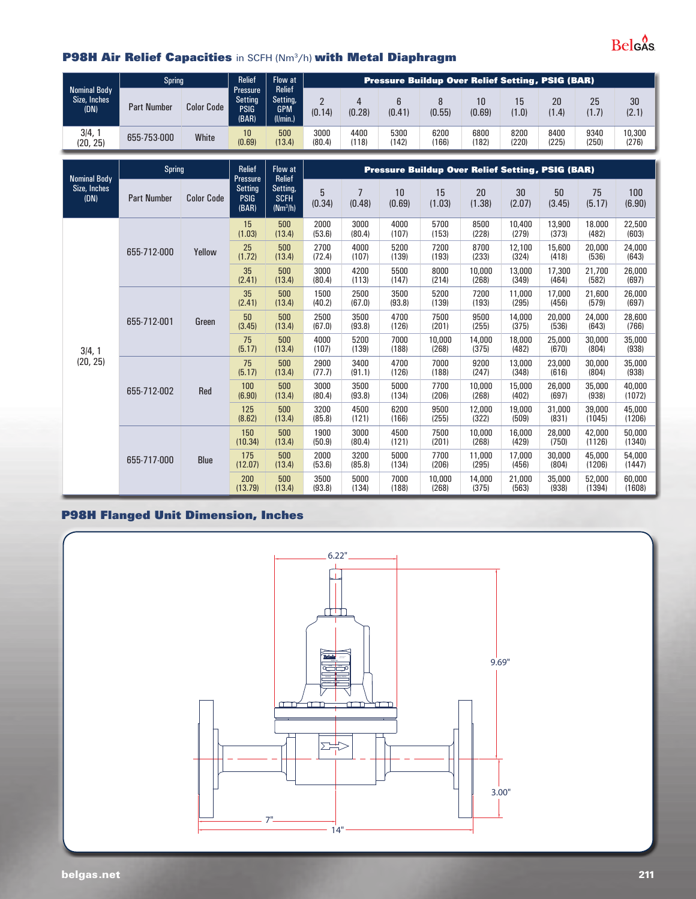## $Bels<sup>0</sup>$ <sub>As</sub>

### **P98H Air Relief Capacities** in SCFH (Nm3/h) **with Metal Diaphragm**

| <b>Nominal Body</b><br>Size, Inches<br>(DN) | <b>Spring</b>      |                   | <b>Relief</b>                                             | Flow at                                             | Pressure Buildup Over Relief Setting <u>, PSIG (BAR)</u> |               |               |               |               |               |               |               |                 |  |
|---------------------------------------------|--------------------|-------------------|-----------------------------------------------------------|-----------------------------------------------------|----------------------------------------------------------|---------------|---------------|---------------|---------------|---------------|---------------|---------------|-----------------|--|
|                                             | <b>Part Number</b> | <b>Color Code</b> | <b>Pressure</b><br><b>Setting</b><br><b>PSIG</b><br>(BAR) | <b>Relief</b><br>Setting,<br><b>GPM</b><br>(1/min.) | (0.14)                                                   | (0.28)        | 6<br>(0.41)   | (0.55)        | (0.69)        | 15<br>(1.0)   | 20<br>(1.4)   | 25<br>(1.7)   | 30<br>(2.1)     |  |
| 3/4,1<br>(20, 25)                           | 655-753-000        | White             | 10<br>(0.69)                                              | 500<br>(13.4)                                       | 3000<br>(80.4)                                           | 4400<br>(118) | 5300<br>(142) | 6200<br>(166) | 6800<br>(182) | 8200<br>(220) | 8400<br>(225) | 9340<br>(250) | 10,300<br>(276) |  |

|                                             | Spring             |                   | <b>Relief</b><br><b>Pressure</b>       | Flow at<br><b>Relief</b>              | <b>Pressure Buildup Over Relief Setting, PSIG (BAR)</b> |                          |                |                 |                 |                 |                 |                  |                  |  |
|---------------------------------------------|--------------------|-------------------|----------------------------------------|---------------------------------------|---------------------------------------------------------|--------------------------|----------------|-----------------|-----------------|-----------------|-----------------|------------------|------------------|--|
| <b>Nominal Body</b><br>Size, Inches<br>(DN) | <b>Part Number</b> | <b>Color Code</b> | <b>Setting</b><br><b>PSIG</b><br>(BAR) | Setting,<br><b>SCFH</b><br>$(Nm^3/h)$ | 5<br>(0.34)                                             | $\overline{7}$<br>(0.48) | 10<br>(0.69)   | 15<br>(1.03)    | 20<br>(1.38)    | 30<br>(2.07)    | 50<br>(3.45)    | 75<br>(5.17)     | 100<br>(6.90)    |  |
|                                             | 655-712-000        | Yellow            | 15<br>(1.03)                           | 500<br>(13.4)                         | 2000<br>(53.6)                                          | 3000<br>(80.4)           | 4000<br>(107)  | 5700<br>(153)   | 8500<br>(228)   | 10.400<br>(279) | 13.900<br>(373) | 18,000<br>(482)  | 22,500<br>(603)  |  |
|                                             |                    |                   | 25<br>(1.72)                           | 500<br>(13.4)                         | 2700<br>(72.4)                                          | 4000<br>(107)            | 5200<br>(139)  | 7200<br>(193)   | 8700<br>(233)   | 12.100<br>(324) | 15,600<br>(418) | 20.000<br>(536)  | 24,000<br>(643)  |  |
|                                             |                    |                   | 35<br>(2.41)                           | 500<br>(13.4)                         | 3000<br>(80.4)                                          | 4200<br>(113)            | 5500<br>(147)  | 8000<br>(214)   | 10.000<br>(268) | 13.000<br>(349) | 17.300<br>(464) | 21,700<br>(582)  | 26,000<br>(697)  |  |
|                                             | 655-712-001        | Green             | 35<br>(2.41)                           | 500<br>(13.4)                         | 1500<br>(40.2)                                          | 2500<br>(67.0)           | 3500<br>(93.8) | 5200<br>(139)   | 7200<br>(193)   | 11,000<br>(295) | 17,000<br>(456) | 21,600<br>(579)  | 26,000<br>(697)  |  |
|                                             |                    |                   | 50<br>(3.45)                           | 500<br>(13.4)                         | 2500<br>(67.0)                                          | 3500<br>(93.8)           | 4700<br>(126)  | 7500<br>(201)   | 9500<br>(255)   | 14,000<br>(375) | 20,000<br>(536) | 24,000<br>(643)  | 28,600<br>(766)  |  |
| 3/4, 1                                      |                    |                   | 75<br>(5.17)                           | 500<br>(13.4)                         | 4000<br>(107)                                           | 5200<br>(139)            | 7000<br>(188)  | 10.000<br>(268) | 14.000<br>(375) | 18.000<br>(482) | 25.000<br>(670) | 30.000<br>(804)  | 35.000<br>(938)  |  |
| (20, 25)                                    | 655-712-002        | Red               | 75<br>(5.17)                           | 500<br>(13.4)                         | 2900<br>(77.7)                                          | 3400<br>(91.1)           | 4700<br>(126)  | 7000<br>(188)   | 9200<br>(247)   | 13.000<br>(348) | 23.000<br>(616) | 30.000<br>(804)  | 35,000<br>(938)  |  |
|                                             |                    |                   | 100<br>(6.90)                          | 500<br>(13.4)                         | 3000<br>(80.4)                                          | 3500<br>(93.8)           | 5000<br>(134)  | 7700<br>(206)   | 10.000<br>(268) | 15.000<br>(402) | 26.000<br>(697) | 35.000<br>(938)  | 40.000<br>(1072) |  |
|                                             |                    |                   | 125<br>(8.62)                          | 500<br>(13.4)                         | 3200<br>(85.8)                                          | 4500<br>(121)            | 6200<br>(166)  | 9500<br>(255)   | 12,000<br>(322) | 19,000<br>(509) | 31,000<br>(831) | 39.000<br>(1045) | 45,000<br>(1206) |  |
|                                             | 655-717-000        | Blue              | 150<br>(10.34)                         | 500<br>(13.4)                         | 1900<br>(50.9)                                          | 3000<br>(80.4)           | 4500<br>(121)  | 7500<br>(201)   | 10,000<br>(268) | 16,000<br>(429) | 28,000<br>(750) | 42,000<br>(1126) | 50,000<br>(1340) |  |
|                                             |                    |                   | 175<br>(12.07)                         | 500<br>(13.4)                         | 2000<br>(53.6)                                          | 3200<br>(85.8)           | 5000<br>(134)  | 7700<br>(206)   | 11,000<br>(295) | 17,000<br>(456) | 30,000<br>(804) | 45,000<br>(1206) | 54,000<br>(1447) |  |
|                                             |                    |                   | 200<br>(13.79)                         | 500<br>(13.4)                         | 3500<br>(93.8)                                          | 5000<br>(134)            | 7000<br>(188)  | 10,000<br>(268) | 14,000<br>(375) | 21,000<br>(563) | 35,000<br>(938) | 52,000<br>(1394) | 60,000<br>(1608) |  |

## **P98H Flanged Unit Dimension, Inches**